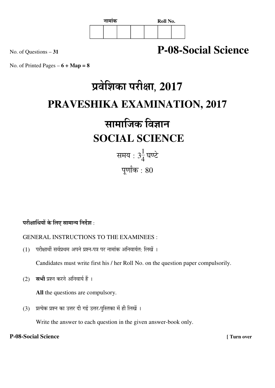

### No. of Questions – **<sup>31</sup> P-08-Social Science**

No. of Printed Pages  $-6 + \text{Map} = 8$ 

# प्रवेशिका परीक्षा, 2017 **PRAVESHIKA EXAMINATION, 2017**

## सामाजिक विज्ञान  **SOCIAL SCIENCE**

समय : 3 $\frac{1}{4}$  $\frac{1}{4}$ घण्टे पूर्णांक $\,$ : 80

#### परीक्षार्थियों के लिए सामान्य निर्देश :

#### GENERAL INSTRUCTIONS TO THE EXAMINEES :

 $(1)$  परीक्षार्थी सर्वप्रथम अपने प्रश्न-पत्र पर नामांक अनिवार्यत: लिखें ।

Candidates must write first his / her Roll No. on the question paper compulsorily.

(2) सभी प्रश्न करने अनिवार्य हैं ।

**All** the questions are compulsory.

(3) प्रत्येक प्रश्न का उत्तर दी गई उत्तर-पुस्तिका में ही लिखें ।

Write the answer to each question in the given answer-book only.

#### **P-08-Social Science [ Turn over**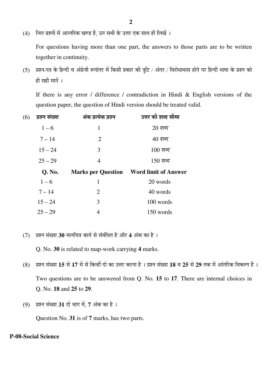(4) जिन प्रश्नों में आन्तरिक खण्ड हैं. उन सभी के उत्तर एक साथ ही लिखें ।

 For questions having more than one part, the answers to those parts are to be written together in continuity.

(5) प्रश्न-पत्र के हिन्दी व अंग्रेजी रूपांतर में किसी प्रकार की त्रूटि / अंतर / विरोधाभास होने पर हिन्दी भाषा के प्रश्न को ही सही मानें ।

 If there is any error / difference / contradiction in Hindi & English versions of the question paper, the question of Hindi version should be treated valid.

| प्रश्न संख्या<br>(6) | अंक प्रत्येक प्रश्न | उत्तर की शब्द सीमा                             |
|----------------------|---------------------|------------------------------------------------|
| $1 - 6$              | 1                   | $20 \overline{\phantom{0}}$ शब्द               |
| $7 - 14$             | 2                   | $40 \overline{\phantom{0}}$ शब्द               |
| $15 - 24$            | 3                   | $100$ शब्द                                     |
| $25 - 29$            | $\overline{4}$      | $150$ शब्द                                     |
|                      |                     |                                                |
| Q. No.               |                     | <b>Marks per Question</b> Word limit of Answer |
| $1 - 6$              | 1                   | 20 words                                       |
| $7 - 14$             | $\overline{2}$      | 40 words                                       |
| $15 - 24$            | 3                   | 100 words                                      |

(7) प्रश्न संख्या 30 मानचित्र कार्य से संबंधित है और 4 अंक का है ।

Q. No. **30** is related to map-work carrying **4** marks.

- (8) प्रश्न संख्या 15 से 17 में से किन्हीं दो का उत्तर करना है । प्रश्न संख्या 18 व 25 से 29 तक में आंतरिक विकल्प हैं । Two questions are to be answered from Q. No. **15** to **17**. There are internal choices in Q. No. **18** and **25** to **29**.
- (9) प्रश्न संख्या 31 दो भाग में, 7 अंक का है।

Question No. **31** is of **7** marks, has two parts.

#### **P-08-Social Science**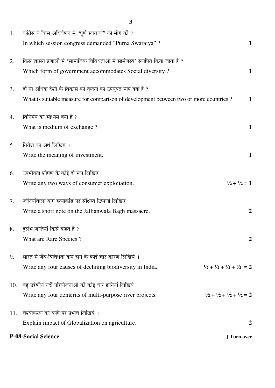|     | <b>P-08-Social Science</b>                                                            | [ Turn over                                                 |
|-----|---------------------------------------------------------------------------------------|-------------------------------------------------------------|
|     | Explain impact of Globalization on agriculture.                                       | $\boldsymbol{2}$                                            |
| 11. | वैश्वीकरण का कृषि पर प्रभाव लिखिये ।                                                  |                                                             |
|     | Write any four demerits of multi-purpose river projects.                              | $\frac{1}{2} + \frac{1}{2} + \frac{1}{2} + \frac{1}{2} = 2$ |
| 10. | बह-उद्देशीय नदी परियोजनाओं की कोई चार हानियाँ लिखिये ।                                |                                                             |
|     | Write any four causes of declining biodiversity in India.                             | $\frac{1}{2} + \frac{1}{2} + \frac{1}{2} + \frac{1}{2} = 2$ |
| 9.  | भारत में जैव-विविधता कम होने के कोई चार कारण लिखिये ।                                 |                                                             |
|     | What are Rare Species?                                                                | $\boldsymbol{2}$                                            |
| 8.  | दुर्लभ जातियाँ किसे कहते हैं ?                                                        |                                                             |
|     | Write a short note on the Jallianwala Bagh massacre.                                  | $\boldsymbol{2}$                                            |
| 7.  | जलियाँवाला बाग हत्याकांड पर संक्षिप्त टिप्पणी लिखिए ।                                 |                                                             |
|     | Write any two ways of consumer exploitation.                                          | $\frac{1}{2} + \frac{1}{2} = 1$                             |
| 6.  | उपभोक्ता शोषण के कोई दो रूप लिखिए ।                                                   |                                                             |
|     | Write the meaning of investment.                                                      | $\mathbf{1}$                                                |
| 5.  | निवेश का अर्थ लिखिए ।                                                                 |                                                             |
|     |                                                                                       |                                                             |
| 4.  | विनिमय का माध्यम क्या है ?<br>What is medium of exchange?                             | $\mathbf{1}$                                                |
|     |                                                                                       |                                                             |
| 3.  | What is suitable measure for comparison of development between two or more countries? | $\mathbf{1}$                                                |
|     | दो या अधिक देशों के विकास की तुलना का उपयुक्त माप क्या है ?                           |                                                             |
|     | Which form of government accommodates Social diversity?                               | $\mathbf{1}$                                                |
| 2.  | किस शासन प्रणाली में 'सामाजिक विविधताओं में सामंजस्य' स्थापित किया जाता है ?          |                                                             |
|     | In which session congress demanded "Purna Swarajya"?                                  | $\mathbf{1}$                                                |
| 1.  | कांग्रेस ने किस अधिवेशन में "पूर्ण स्वराज्य" की माँग की ?                             |                                                             |

**3**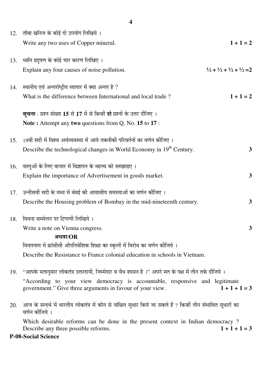|     | 4                                                                                                                                        |                                                             |
|-----|------------------------------------------------------------------------------------------------------------------------------------------|-------------------------------------------------------------|
| 12. | ताँबा खनिज के कोई दो उपयोग लिखिये ।                                                                                                      |                                                             |
|     | Write any two uses of Copper mineral.                                                                                                    | $1 + 1 = 2$                                                 |
| 13. | ध्वनि प्रदूषण के कोई चार कारण लिखिए ।                                                                                                    |                                                             |
|     | Explain any four causes of noise pollution.                                                                                              | $\frac{1}{2} + \frac{1}{2} + \frac{1}{2} + \frac{1}{2} = 2$ |
| 14. | स्थानीय एवं अन्तर्राष्ट्रीय व्यापार में क्या अन्तर है ?                                                                                  |                                                             |
|     | What is the difference between International and local trade?                                                                            | $1 + 1 = 2$                                                 |
|     | <b>सूचना</b> : प्रश्न संख्या 15 से 17 में से किन्हीं <b>दो</b> प्रश्नों के उत्तर दीजिए ।                                                 |                                                             |
|     | Note: Attempt any two questions from Q. No. 15 to 17:                                                                                    |                                                             |
| 15. | 19वीं सदी में विश्व अर्थव्यवस्था में आये तकनीकी परिवर्तनों का वर्णन कीजिए ।                                                              |                                                             |
|     | Describe the technological changes in World Economy in 19 <sup>th</sup> Century.                                                         | 3                                                           |
| 16. | वस्तुओं के लिए बाजार में विज्ञापन के महत्त्व को समझाइए ।                                                                                 |                                                             |
|     | Explain the importance of Advertisement in goods market.                                                                                 | 3                                                           |
| 17. | उन्नीसवीं सदी के मध्य में बंबई की आवासीय समस्याओं का वर्णन कीजिए ।                                                                       |                                                             |
|     | Describe the Housing problem of Bombay in the mid-nineteenth century.                                                                    | 3                                                           |
|     | 18. वियना सम्मेलन पर टिप्पणी लिखिये ।                                                                                                    |                                                             |
|     | Write a note on Vienna congress.<br>अथवा/ $OR$                                                                                           | $\mathbf{3}$                                                |
|     | वियतनाम में फ्रांसीसी औपनिवेशिक शिक्षा का स्कूलों में विरोध का वर्णन कीजिये ।                                                            |                                                             |
|     | Describe the Resistance to France colonial education in schools in Vietnam.                                                              |                                                             |
| 19. | "आपके मतानुसार लोकतंत्र उत्तरदायी, जिम्मेदार व वैध शासन है ।" अपने मत के पक्ष में तीन तर्क दीजिये ।                                      |                                                             |
|     | "According to your view democracy is accountable, responsive and legitimate<br>government." Give three arguments in favour of your view. | $1 + 1 + 1 = 3$                                             |
| 20. | आज के सन्दर्भ में भारतीय लोकतंत्र में कौन से वांछित सुधार किये जा सकते हैं ? किन्हीं तीन संभावित सुधारों का<br>वर्णन कीजिये ।            |                                                             |
|     | Which desirable reforms can be done in the present context in Indian democracy?<br>Describe any three possible reforms.                  | $1 + 1 + 1 = 3$                                             |
|     | <b>P-08-Social Science</b>                                                                                                               |                                                             |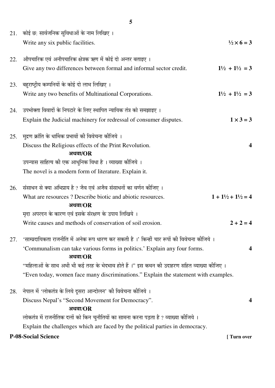|     | 21. कोई छ: सार्वजनिक सुविधाओं के नाम लिखिए ।<br>Write any six public facilities.                                                                                                                                                                    | $\frac{1}{2} \times 6 = 3$            |
|-----|-----------------------------------------------------------------------------------------------------------------------------------------------------------------------------------------------------------------------------------------------------|---------------------------------------|
| 22. | औपचारिक एवं अनौपचारिक क्षेत्रक ऋण में कोई दो अन्तर बताइए ।<br>Give any two differences between formal and informal sector credit.                                                                                                                   | $1\frac{1}{2} + 1\frac{1}{2} = 3$     |
| 23. | बहुराष्ट्रीय कम्पनियों के कोई दो लाभ लिखिए ।<br>Write any two benefits of Multinational Corporations.                                                                                                                                               | $1\frac{1}{2} + 1\frac{1}{2} = 3$     |
| 24. | उपभोक्ता विवादों के निपटारे के लिए स्थापित न्यायिक तंत्र को समझाइए ।<br>Explain the Judicial machinery for redressal of consumer disputes.                                                                                                          | $1 \times 3 = 3$                      |
| 25. | मुद्रण क्रांति के धार्मिक प्रभावों की विवेचना कीजिये ।<br>Discuss the Religious effects of the Print Revolution.<br>अथवा/ $OR$<br>उपन्यास साहित्य की एक आधुनिक विधा है । व्याख्या कीजिये ।<br>The novel is a modern form of literature. Explain it. | $\boldsymbol{4}$                      |
| 26. | संसाधन से क्या अभिप्राय है ? जैव एवं अजैव संसाधनों का वर्णन कीजिए ।<br>What are resources? Describe biotic and abiotic resources.<br>अथवा/ $OR$<br>मृदा अपरदन के कारण एवं इसके संरक्षण के उपाय लिखिये ।                                             | $1 + 1\frac{1}{2} + 1\frac{1}{2} = 4$ |
|     | Write causes and methods of conservation of soil erosion.                                                                                                                                                                                           | $2 + 2 = 4$                           |
| 27. | 'साम्प्रदायिकता राजनीति में अनेक रूप धारण कर सकती है ।' किन्हीं चार रूपों की विवेचना कीजिये ।<br>'Communalism can take various forms in politics.' Explain any four forms.<br>अथवा/ $OR$                                                            | 4                                     |
|     | ''महिलाओं के साथ अभी भी कई तरह के भेदभाव होते हैं ।'' इस कथन की उदाहरण सहित व्याख्या कीजिए ।<br>"Even today, women face many discriminations." Explain the statement with examples.                                                                 |                                       |
| 28. | नेपाल में 'लोकतंत्र के लिये दूसरा आन्दोलन' की विवेचना कीजिये ।<br>Discuss Nepal's "Second Movement for Democracy".<br>अथवा/ $OR$                                                                                                                    | 4                                     |
|     | लोकतंत्र में राजनीतिक दलों को किन चुनौतियों का सामना करना पड़ता है ? व्याख्या कीजिये ।<br>Explain the challenges which are faced by the political parties in democracy.                                                                             |                                       |
|     | <b>P-08-Social Science</b>                                                                                                                                                                                                                          | [ Turn over                           |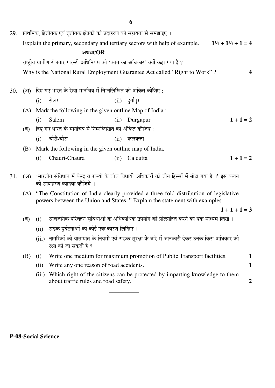| 29. |     |                                                                                                                                                                        | प्राथमिक, द्वितीयक एवं तृतीयक क्षेत्रकों को उदाहरण की सहायता से समझाइए ।       |      |                                                                                                        |                                         |                  |
|-----|-----|------------------------------------------------------------------------------------------------------------------------------------------------------------------------|--------------------------------------------------------------------------------|------|--------------------------------------------------------------------------------------------------------|-----------------------------------------|------------------|
|     |     |                                                                                                                                                                        |                                                                                |      | Explain the primary, secondary and tertiary sectors with help of example.                              | $1\frac{1}{2}$ + $1\frac{1}{2}$ + 1 = 4 |                  |
|     |     |                                                                                                                                                                        | अथवा/ $OR$                                                                     |      |                                                                                                        |                                         |                  |
|     |     |                                                                                                                                                                        | राष्ट्रीय ग्रामीण रोजगार गारन्टी अधिनियम को 'काम का अधिकार' क्यों कहा गया है ? |      |                                                                                                        |                                         |                  |
|     |     |                                                                                                                                                                        |                                                                                |      | Why is the National Rural Employment Guarantee Act called "Right to Work"?                             |                                         |                  |
| 30. |     |                                                                                                                                                                        | (अ) दिए गए भारत के रेखा मानचित्र में निम्नलिखित को अंकित कीजिए :               |      |                                                                                                        |                                         |                  |
|     |     | (i)                                                                                                                                                                    | सेलम                                                                           |      | $(ii)$ दुर्गापुर                                                                                       |                                         |                  |
|     | (A) |                                                                                                                                                                        | Mark the following in the given outline Map of India:                          |      |                                                                                                        |                                         |                  |
|     |     | (i)                                                                                                                                                                    | Salem                                                                          | (ii) | Durgapur                                                                                               | $1 + 1 = 2$                             |                  |
|     | (ब) |                                                                                                                                                                        | दिए गए भारत के मानचित्र में निम्नलिखित को अंकित कीजिए:                         |      |                                                                                                        |                                         |                  |
|     |     | (i)                                                                                                                                                                    | चौरी-चौरा                                                                      | (ii) | कलकत्ता                                                                                                |                                         |                  |
|     | (B) |                                                                                                                                                                        | Mark the following in the given outline map of India.                          |      |                                                                                                        |                                         |                  |
|     |     | (i)                                                                                                                                                                    | Chauri-Chaura                                                                  | (ii) | Calcutta                                                                                               | $1 + 1 = 2$                             |                  |
| 31. | (3) |                                                                                                                                                                        | की सोदाहरण व्याख्या कीजिये ।                                                   |      | 'भारतीय संविधान में केन्द्र व राज्यों के बीच विधायी अधिकारों को तीन हिस्सों में बाँटा गया है ।' इस कथन |                                         |                  |
|     |     | (A) "The Constitution of India clearly provided a three fold distribution of legislative<br>powers between the Union and States. "Explain the statement with examples. |                                                                                |      |                                                                                                        |                                         |                  |
|     |     |                                                                                                                                                                        |                                                                                |      |                                                                                                        | $1+1+1=3$                               |                  |
|     | (ब) | (i)                                                                                                                                                                    |                                                                                |      | सार्वजनिक परिवहन सुविधाओं के अधिकाधिक उपयोग को प्रोत्साहित करने का एक माध्यम लिखें ।                   |                                         |                  |
|     |     | (ii)                                                                                                                                                                   | सड़क दुर्घटनाओं का कोई एक कारण लिखिए ।                                         |      |                                                                                                        |                                         |                  |
|     |     | (iii)                                                                                                                                                                  | रक्षा की जा सकती है ?                                                          |      | नागरिकों को यातायात के नियमों एवं सड़क सुरक्षा के बारे में जानकारी देकर उनके किस अधिकार की             |                                         |                  |
|     | (B) | (i)                                                                                                                                                                    |                                                                                |      | Write one medium for maximum promotion of Public Transport facilities.                                 |                                         | $\mathbf 1$      |
|     |     | (ii)                                                                                                                                                                   | Write any one reason of road accidents.                                        |      |                                                                                                        |                                         | $\mathbf{1}$     |
|     |     | (iii)                                                                                                                                                                  | about traffic rules and road safety.                                           |      | Which right of the citizens can be protected by imparting knowledge to them                            |                                         | $\boldsymbol{2}$ |

\_\_\_\_\_\_\_\_\_\_

**P-08-Social Science**

**6**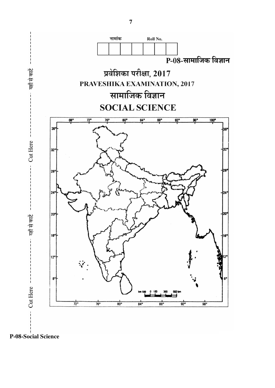